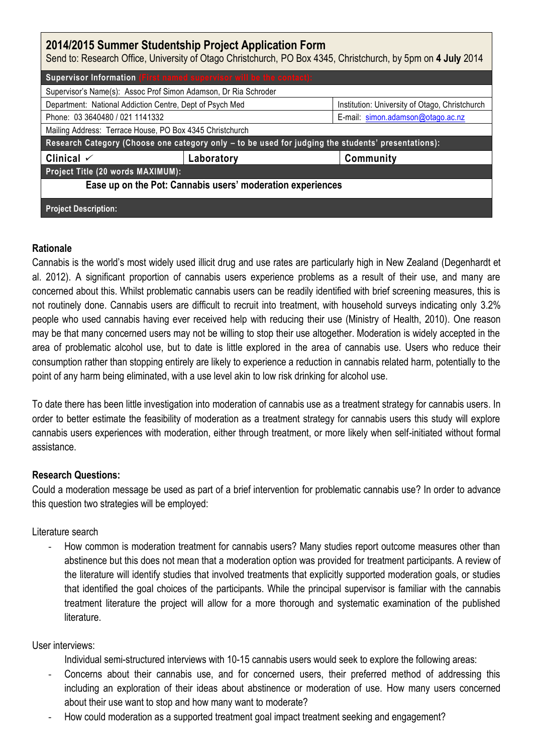| 2014/2015 Summer Studentship Project Application Form<br>Send to: Research Office, University of Otago Christchurch, PO Box 4345, Christchurch, by 5pm on 4 July 2014 |            |                                                |
|-----------------------------------------------------------------------------------------------------------------------------------------------------------------------|------------|------------------------------------------------|
| Supervisor Information (First named supervisor will be the contact):                                                                                                  |            |                                                |
| Supervisor's Name(s): Assoc Prof Simon Adamson, Dr Ria Schroder                                                                                                       |            |                                                |
| Department: National Addiction Centre, Dept of Psych Med                                                                                                              |            | Institution: University of Otago, Christchurch |
| Phone: 03 3640480 / 021 1141332                                                                                                                                       |            | E-mail: simon.adamson@otago.ac.nz              |
| Mailing Address: Terrace House, PO Box 4345 Christchurch                                                                                                              |            |                                                |
| Research Category (Choose one category only - to be used for judging the students' presentations):                                                                    |            |                                                |
| Clinical $\checkmark$                                                                                                                                                 | Laboratory | Community                                      |
| Project Title (20 words MAXIMUM):                                                                                                                                     |            |                                                |
| Ease up on the Pot: Cannabis users' moderation experiences                                                                                                            |            |                                                |
| <b>Project Description:</b>                                                                                                                                           |            |                                                |

### **Rationale**

Cannabis is the world's most widely used illicit drug and use rates are particularly high in New Zealand (Degenhardt et al. 2012). A significant proportion of cannabis users experience problems as a result of their use, and many are concerned about this. Whilst problematic cannabis users can be readily identified with brief screening measures, this is not routinely done. Cannabis users are difficult to recruit into treatment, with household surveys indicating only 3.2% people who used cannabis having ever received help with reducing their use (Ministry of Health, 2010). One reason may be that many concerned users may not be willing to stop their use altogether. Moderation is widely accepted in the area of problematic alcohol use, but to date is little explored in the area of cannabis use. Users who reduce their consumption rather than stopping entirely are likely to experience a reduction in cannabis related harm, potentially to the point of any harm being eliminated, with a use level akin to low risk drinking for alcohol use.

To date there has been little investigation into moderation of cannabis use as a treatment strategy for cannabis users. In order to better estimate the feasibility of moderation as a treatment strategy for cannabis users this study will explore cannabis users experiences with moderation, either through treatment, or more likely when self-initiated without formal assistance.

# **Research Questions:**

Could a moderation message be used as part of a brief intervention for problematic cannabis use? In order to advance this question two strategies will be employed:

# Literature search

How common is moderation treatment for cannabis users? Many studies report outcome measures other than abstinence but this does not mean that a moderation option was provided for treatment participants. A review of the literature will identify studies that involved treatments that explicitly supported moderation goals, or studies that identified the goal choices of the participants. While the principal supervisor is familiar with the cannabis treatment literature the project will allow for a more thorough and systematic examination of the published literature.

# User interviews:

Individual semi-structured interviews with 10-15 cannabis users would seek to explore the following areas:

- Concerns about their cannabis use, and for concerned users, their preferred method of addressing this including an exploration of their ideas about abstinence or moderation of use. How many users concerned about their use want to stop and how many want to moderate?
- How could moderation as a supported treatment goal impact treatment seeking and engagement?